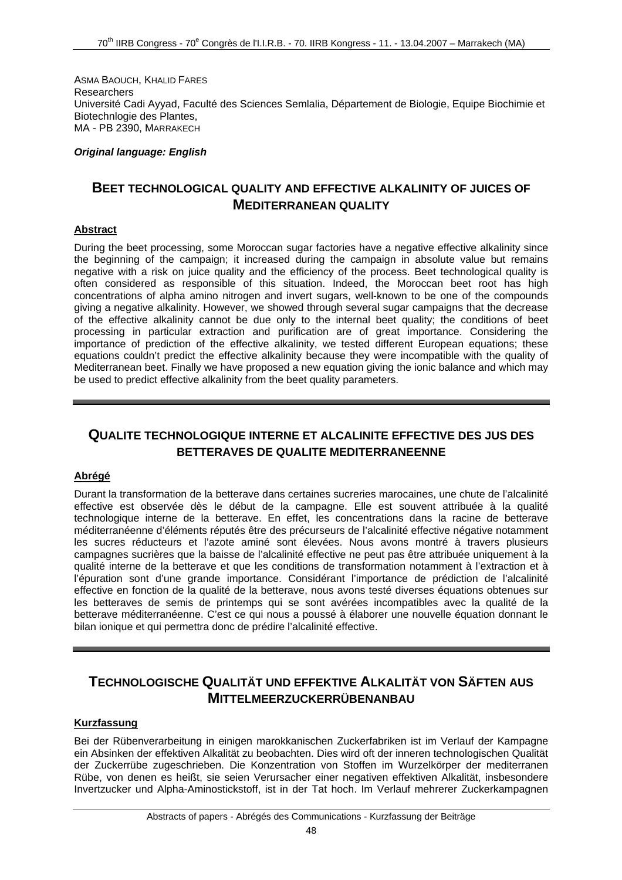ASMA BAOUCH, KHALID FARES **Researchers** Université Cadi Ayyad, Faculté des Sciences Semlalia, Département de Biologie, Equipe Biochimie et Biotechnlogie des Plantes, MA - PB 2390, MARRAKECH

*Original language: English* 

## **BEET TECHNOLOGICAL QUALITY AND EFFECTIVE ALKALINITY OF JUICES OF MEDITERRANEAN QUALITY**

### **Abstract**

During the beet processing, some Moroccan sugar factories have a negative effective alkalinity since the beginning of the campaign; it increased during the campaign in absolute value but remains negative with a risk on juice quality and the efficiency of the process. Beet technological quality is often considered as responsible of this situation. Indeed, the Moroccan beet root has high concentrations of alpha amino nitrogen and invert sugars, well-known to be one of the compounds giving a negative alkalinity. However, we showed through several sugar campaigns that the decrease of the effective alkalinity cannot be due only to the internal beet quality; the conditions of beet processing in particular extraction and purification are of great importance. Considering the importance of prediction of the effective alkalinity, we tested different European equations; these equations couldn't predict the effective alkalinity because they were incompatible with the quality of Mediterranean beet. Finally we have proposed a new equation giving the ionic balance and which may be used to predict effective alkalinity from the beet quality parameters.

# **QUALITE TECHNOLOGIQUE INTERNE ET ALCALINITE EFFECTIVE DES JUS DES BETTERAVES DE QUALITE MEDITERRANEENNE**

## **Abrégé**

Durant la transformation de la betterave dans certaines sucreries marocaines, une chute de l'alcalinité effective est observée dès le début de la campagne. Elle est souvent attribuée à la qualité technologique interne de la betterave. En effet, les concentrations dans la racine de betterave méditerranéenne d'éléments réputés être des précurseurs de l'alcalinité effective négative notamment les sucres réducteurs et l'azote aminé sont élevées. Nous avons montré à travers plusieurs campagnes sucrières que la baisse de l'alcalinité effective ne peut pas être attribuée uniquement à la qualité interne de la betterave et que les conditions de transformation notamment à l'extraction et à l'épuration sont d'une grande importance. Considérant l'importance de prédiction de l'alcalinité effective en fonction de la qualité de la betterave, nous avons testé diverses équations obtenues sur les betteraves de semis de printemps qui se sont avérées incompatibles avec la qualité de la betterave méditerranéenne. C'est ce qui nous a poussé à élaborer une nouvelle équation donnant le bilan ionique et qui permettra donc de prédire l'alcalinité effective.

# **TECHNOLOGISCHE QUALITÄT UND EFFEKTIVE ALKALITÄT VON SÄFTEN AUS MITTELMEERZUCKERRÜBENANBAU**

#### **Kurzfassung**

Bei der Rübenverarbeitung in einigen marokkanischen Zuckerfabriken ist im Verlauf der Kampagne ein Absinken der effektiven Alkalität zu beobachten. Dies wird oft der inneren technologischen Qualität der Zuckerrübe zugeschrieben. Die Konzentration von Stoffen im Wurzelkörper der mediterranen Rübe, von denen es heißt, sie seien Verursacher einer negativen effektiven Alkalität, insbesondere Invertzucker und Alpha-Aminostickstoff, ist in der Tat hoch. Im Verlauf mehrerer Zuckerkampagnen